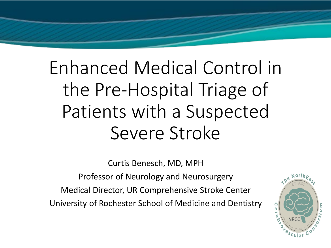# Enhanced Medical Control in the Pre-Hospital Triage of Patients with a Suspected Severe Stroke

Curtis Benesch, MD, MPH

Professor of Neurology and Neurosurgery

Medical Director, UR Comprehensive Stroke Center University of Rochester School of Medicine and Dentistry

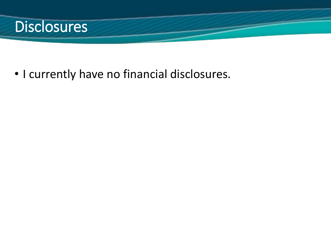

• I currently have no financial disclosures.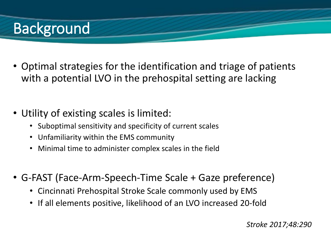# **Background**

- Optimal strategies for the identification and triage of patients with a potential LVO in the prehospital setting are lacking
- Utility of existing scales is limited:
	- Suboptimal sensitivity and specificity of current scales
	- Unfamiliarity within the EMS community
	- Minimal time to administer complex scales in the field
- G-FAST (Face-Arm-Speech-Time Scale + Gaze preference)
	- Cincinnati Prehospital Stroke Scale commonly used by EMS
	- If all elements positive, likelihood of an LVO increased 20-fold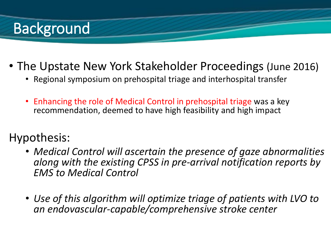## **Background**

- The Upstate New York Stakeholder Proceedings (June 2016)
	- Regional symposium on prehospital triage and interhospital transfer
	- Enhancing the role of Medical Control in prehospital triage was a key recommendation, deemed to have high feasibility and high impact

### Hypothesis:

- *Medical Control will ascertain the presence of gaze abnormalities along with the existing CPSS in pre-arrival notification reports by EMS to Medical Control*
- *Use of this algorithm will optimize triage of patients with LVO to an endovascular-capable/comprehensive stroke center*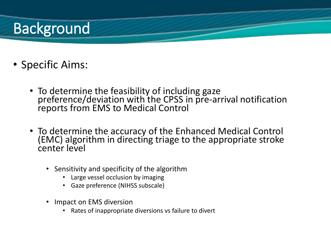## **Background**

- Specific Aims:
	- To determine the feasibility of including gaze preference/deviation with the CPSS in pre-arrival notification reports from EMS to Medical Control
	- To determine the accuracy of the Enhanced Medical Control (EMC) algorithm in directing triage to the appropriate stroke center level
		- Sensitivity and specificity of the algorithm
			- Large vessel occlusion by imaging
			- Gaze preference (NIHSS subscale)
		- Impact on EMS diversion
			- Rates of inappropriate diversions vs failure to divert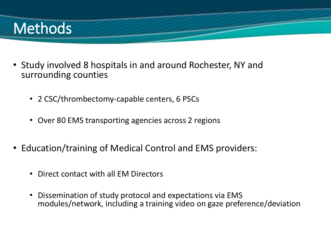## **Methods**

- Study involved 8 hospitals in and around Rochester, NY and surrounding counties
	- 2 CSC/thrombectomy-capable centers, 6 PSCs
	- Over 80 EMS transporting agencies across 2 regions
- Education/training of Medical Control and EMS providers:
	- Direct contact with all EM Directors
	- Dissemination of study protocol and expectations via EMS modules/network, including a training video on gaze preference/deviation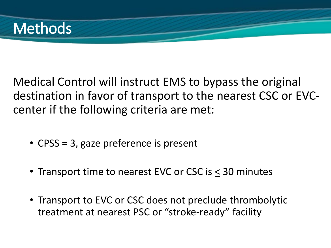

Medical Control will instruct EMS to bypass the original destination in favor of transport to the nearest CSC or EVCcenter if the following criteria are met:

- CPSS = 3, gaze preference is present
- Transport time to nearest EVC or CSC is < 30 minutes
- Transport to EVC or CSC does not preclude thrombolytic treatment at nearest PSC or "stroke-ready" facility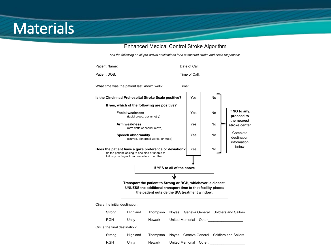### **Materials**

#### Enhanced Medical Control Stroke Algorithm

*Ask the following on all pre-arrival notifications for a suspected stroke and circle responses:*



Circle the initial destination:

| Strong                        | Highland | Thompson | Noves Geneva General Soldiers and Sailors |  |
|-------------------------------|----------|----------|-------------------------------------------|--|
| <b>RGH</b>                    | Unity    | Newark   | United Memorial<br>Other                  |  |
| Circle the final destination: |          |          |                                           |  |
| Strong                        | Highland | Thompson | Noves Geneva General Soldiers and Sailors |  |
| <b>RGH</b>                    | Unity    | Newark   | United Memorial<br>Other:                 |  |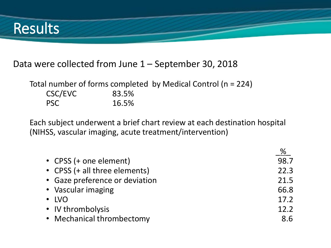

### Data were collected from June 1 – September 30, 2018

Total number of forms completed by Medical Control (n = 224) CSC/EVC 83.5% PSC 16.5%

Each subject underwent a brief chart review at each destination hospital (NIHSS, vascular imaging, acute treatment/intervention)

|                                | %    |
|--------------------------------|------|
| • CPSS (+ one element)         | 98.7 |
| • CPSS (+ all three elements)  | 22.3 |
| • Gaze preference or deviation | 21.5 |
| • Vascular imaging             | 66.8 |
| $\cdot$ LVO                    | 17.2 |
| • IV thrombolysis              | 12.2 |
| • Mechanical thrombectomy      | 8.6  |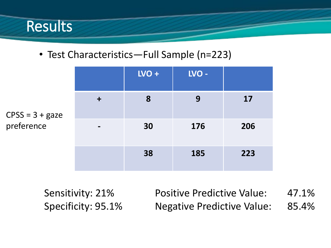

• Test Characteristics—Full Sample (n=223)

|              |                | $LVO +$ | LVO - |     |
|--------------|----------------|---------|-------|-----|
| $\mathbf{S}$ | $\div$         | 8       | 9     | 17  |
|              | $\blacksquare$ | 30      | 176   | 206 |
|              |                | 38      | 185   | 223 |

 $CPSS = 3 + gaze$ preference

> Sensitivity: 21% Specificity: 95.1%

Positive Predictive Value: 47.1% Negative Predictive Value: 85.4%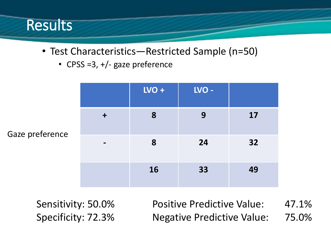

- Test Characteristics—Restricted Sample (n=50)
	- CPSS =3, +/- gaze preference

|                 |                 | $LVO +$ | LVO - |    |
|-----------------|-----------------|---------|-------|----|
| Gaze preference | $\div$          | 8       | 9     | 17 |
|                 | $\qquad \qquad$ | 8       | 24    | 32 |
|                 |                 | 16      | 33    | 49 |

Sensitivity: 50.0% Specificity: 72.3%

Positive Predictive Value: 47.1% Negative Predictive Value: 75.0%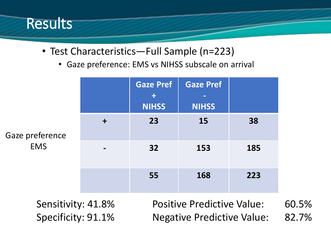

- Test Characteristics—Full Sample (n=223)
	- Gaze preference: EMS vs NIHSS subscale on arrival

|                               |           | <b>Gaze Pref</b><br>$\ddot{\textbf{r}}$<br><b>NIHSS</b> | <b>Gaze Pref</b><br>-<br><b>NIHSS</b> |     |
|-------------------------------|-----------|---------------------------------------------------------|---------------------------------------|-----|
| Gaze preference<br><b>EMS</b> | $\ddot{}$ | 23                                                      | 15                                    | 38  |
|                               |           | 32                                                      | 153                                   | 185 |
|                               |           | 55                                                      | 168                                   | 223 |

Sensitivity: 41.8% Specificity: 91.1%

Positive Predictive Value: 60.5% Negative Predictive Value: 82.7%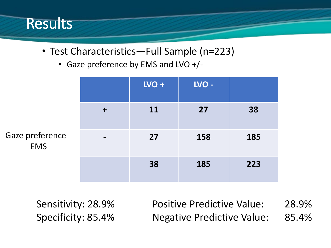

- Test Characteristics—Full Sample (n=223)
	- Gaze preference by EMS and LVO +/-

|                               |                | $LVO +$   | LVO - |     |
|-------------------------------|----------------|-----------|-------|-----|
| Gaze preference<br><b>EMS</b> | $\mathbf +$    | <b>11</b> | 27    | 38  |
|                               | $\blacksquare$ | 27        | 158   | 185 |
|                               |                | 38        | 185   | 223 |

Sensitivity: 28.9% Specificity: 85.4% Positive Predictive Value: 28.9% Negative Predictive Value: 85.4%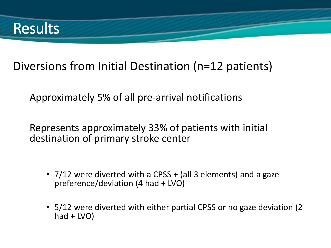

### Diversions from Initial Destination (n=12 patients)

Approximately 5% of all pre-arrival notifications

Represents approximately 33% of patients with initial destination of primary stroke center

- 7/12 were diverted with a CPSS + (all 3 elements) and a gaze preference/deviation (4 had + LVO)
- 5/12 were diverted with either partial CPSS or no gaze deviation (2 had + LVO)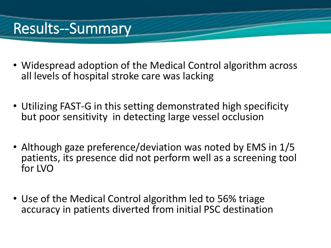## Results--Summary

- Widespread adoption of the Medical Control algorithm across all levels of hospital stroke care was lacking
- Utilizing FAST-G in this setting demonstrated high specificity but poor sensitivity in detecting large vessel occlusion
- Although gaze preference/deviation was noted by EMS in 1/5 patients, its presence did not perform well as a screening tool for LVO
- Use of the Medical Control algorithm led to 56% triage accuracy in patients diverted from initial PSC destination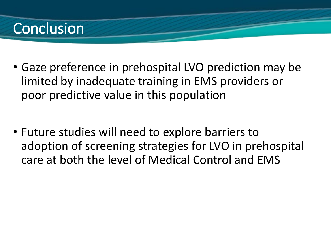### **Conclusion**

- Gaze preference in prehospital LVO prediction may be limited by inadequate training in EMS providers or poor predictive value in this population
- Future studies will need to explore barriers to adoption of screening strategies for LVO in prehospital care at both the level of Medical Control and EMS